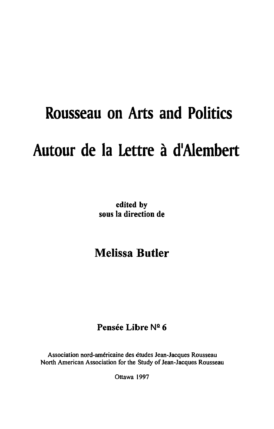# **Rousseau on Arts and Politics Autour de la Lettre a dlAlembert**

**edited by sous la direction de** 

## **Melissa Butler**

## Pensée Libre Nº 6

Association nord-americaine des etudes Jean-Jacques Rousseau North American Association for the Study of Jean-Jacques Rousseau

Ottawa 1997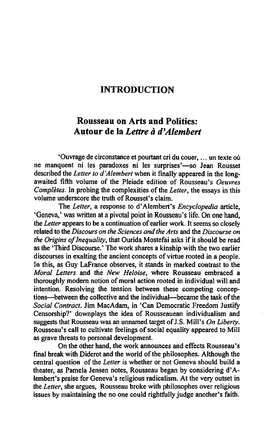### INTRODUCTION

#### Rousseau on Arts and Politics: Autour de la *Lettre a d'Alemhert*

'Ouvrage de circonstance et pourtant cri du couer, ... un texte ou ne manquent ni les paradoxes ni les surprises'-so Jean Rousset described the *Letter to d 'Alembert* when it finally appeared in the longawaited fifth volume of the Pleiade edition of Rousseau's *Oeuvres Completes.* In probing the complexities of the *Letter,* the essays in this volume underscore the truth of Rousset's claim.

The *Letter,* a response to d' Alembert's *Encyclopedia* article, 'Geneva,' was written at a pivotal point in Rousseau's life. On one hand, the *Letter* appears to be a continuation of earlier work. It seems so closely related to the *Discours on the Sciences and the Arts* and the *Discourse on the Origins of Inequality,* that Ourida Mostefai asks if it should be read as the 'Third Discourse.' The work shares a kinship with the two earlier discourses in exalting the ancient concepts of virtue rooted in a people. In this, as Guy Lafrance observes, it stands in marked contrast to the *Moral Leiters* and the *New Heloise,* where Rousseau embraced a thoroughly modern notion of moral action rooted in individual will and intention. Resolving the tension between these competing conceptions-between the collective and the individual-became the task of the *Social Contract.* Jim MacAdam, in 'Can Democratic Freedom JustifY Censorship?' downplays the idea of Rousseauean individualism and suggests that Rousseau was an unnamed target of J.S. Mill's *On Liberty.*  Rousseau's call to cultivate feelings of social equality appeared to Mill as grave threats to personal development.

On the other hand, the work announces and effects Rousseau's final break with Diderot and the world of the philosophes. Although the central question of the *Letter* is whether or not Geneva should build a theater, as Pamela Jensen notes, Rousseau began by considering d' Alembert's praise for Geneva's religious radicalism. At the very outset in the *Leiter,* she argues, Rousseau broke with philosophes over religious issues by maintaining the no one could rightfully judge another's faith.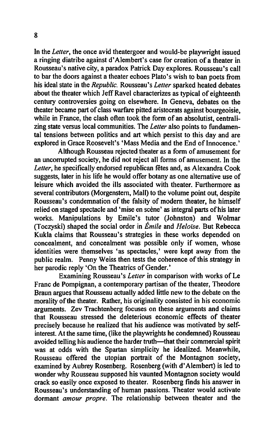In the *Letter,* the once avid theatergoer and would-be playwright issued a ringing diatribe against d' Alembert's case for creation of a theater in Rousseau's native city, a paradox Patrick Day explores. Rousseau's call to bar the doors against a theater echoes Plato's wish to ban poets from his ideal state in the *Republic.* Rousseau's *Letter* sparked heated debates about the theater which Jeff Ravel characterizes as typical of eighteenth century controversies going on elsewhere. In Geneva, debates on the theater became part of class warfare pitted aristocrats against bourgeoisie, while in France, the clash often took the form of an absolutist, centralizing state versus local communities. The *Letter* also points to fundamental tensions between politics and art which persist to this day and are explored in Grace Roosevelt's 'Mass Media and the End of Innocence.'

Although Rousseau rejected theater as a form of amusement for an uncorrupted society, he did not reject all forms of amusement. In the *Letter,* he specifically endorsed republican fetes and, as Alexandra Cook suggests, later in his life he would offer botany as one alternative use of leisure which avoided the ills associated with theater. Furthermore as several contributors (Morgenstern, Mall) to the volume point out, despite Rousseau's condemnation of the falsity of modem theater, he himself relied on staged spectacle and 'mise en scene' as integral parts of his later works. Manipulations by Emile's tutor (Johnston) and Wolmar (Toczyski) shaped the social order in *Emile* and *HelOise.* But Rebecca Kukla claims that Rousseau's strategies in these works depended on concealment, and concealment was possible only if women, whose identities were themselves 'as spectacles,' were kept away from the public realm. Penny Weiss then tests the coherence of this strategy in her parodic reply 'On the Theatrics of Gender.'

Examining Rousseau's *Letter* in comparison with works of Le Franc de Pompignan, a contemporary partisan of the theater, Theodore Braun argues that Rousseau actually added little new to the debate on the morality of the theater. Rather, his originality consisted in his economic arguments. Zev Trachtenberg focuses on these arguments and claims that Rousseau stressed the deleterious economic effects of theater precisely because he realized that his audience was motivated by selfinterest. At the same time, (like the playwrights he condemned) Rousseau avoided telling his audience the harder truth—that their commercial spirit was at odds with the Spartan simplicity he idealized. Meanwhile, Rousseau offered the utopian portrait of the Montagnon society, examined by Aubrey Rosenberg. Rosenberg (with d' Alembert) is led to wonder why Rousseau supposed his vaunted Montagnon society would crack so easily once exposed to theater. Rosenberg finds his answer in Rousseau's understanding of human passions. Theater would activate dormant *amour propre.* The relationship between theater and the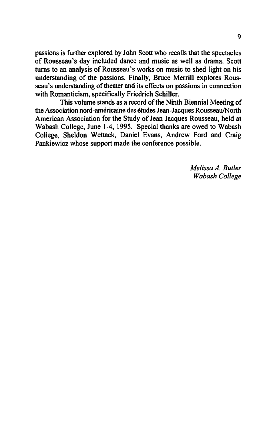passions is further explored by John Scott who recalls that the spectacles of Rousseau's day included dance and music as well as drama. Scott turns to an analysis of Rousseau's works on music to shed light on his understanding of the passions. Finally, Bruce Merrill explores Rousseau's understanding of theater and its effects on passions in connection with Romanticism, specifically Friedrich Schiller.

This volume stands as a record of the Ninth Biennial Meeting of the Association nord-americaine des etudes Jean-Jacques Rousseau/North American Association for the Study of Jean Jacques Rousseau, held at Wabash College, June 1-4, 1995. Special thanks are owed to Wabash College, Sheldon Wettack, Daniel Evans, Andrew Ford and Craig Pankiewicz whose support made the conference possible.

> *Melissa A. Butler Wabash College*